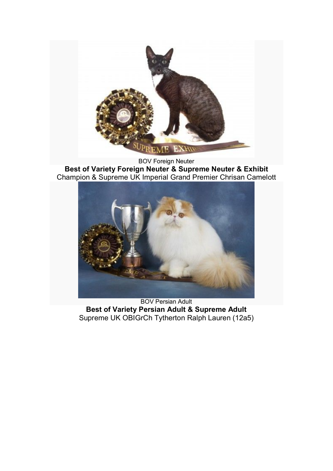

BOV Foreign Neuter **Best of Variety Foreign Neuter & Supreme Neuter & Exhibit** Champion & Supreme UK Imperial Grand Premier Chrisan Camelott



BOV Persian Adult **Best of Variety Persian Adult & Supreme Adult** Supreme UK OBIGrCh Tytherton Ralph Lauren (12a5)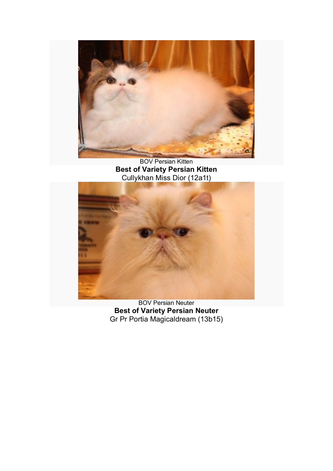

BOV Persian Kitten **Best of Variety Persian Kitten** Cullykhan Miss Dior (12a1t)



BOV Persian Neuter **Best of Variety Persian Neuter** Gr Pr Portia Magicaldream (13b15)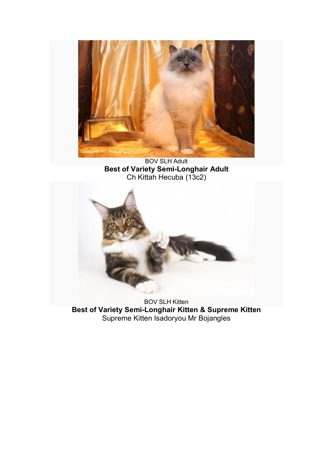

BOV SLH Adult **Best of Variety Semi-Longhair Adult** Ch Kittah Hecuba (13c2)



BOV SLH Kitten **Best of Variety Semi-Longhair Kitten & Supreme Kitten** Supreme Kitten Isadoryou Mr Bojangles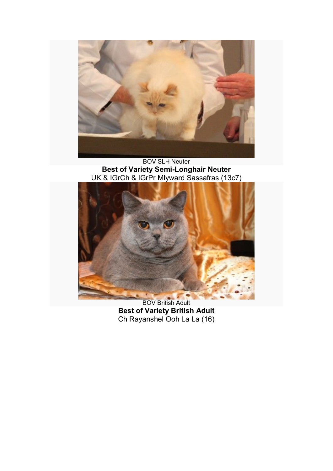

## BOV SLH Neuter **Best of Variety Semi-Longhair Neuter** UK & IGrCh & IGrPr Mlyward Sassafras (13c7)



BOV British Adult **Best of Variety British Adult** Ch Rayanshel Ooh La La (16)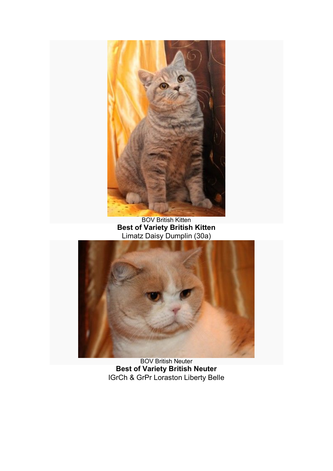

BOV British Kitten **Best of Variety British Kitten** Limatz Daisy Dumplin (30a)



BOV British Neuter **Best of Variety British Neuter** IGrCh & GrPr Loraston Liberty Belle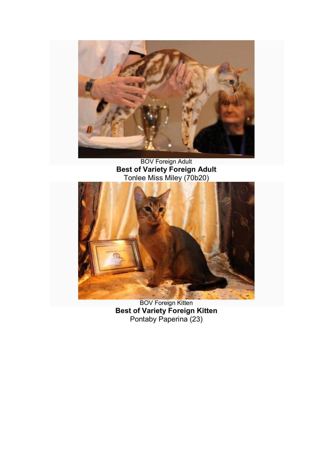

BOV Foreign Adult **Best of Variety Foreign Adult** Tonlee Miss Miley (70b20)



BOV Foreign Kitten **Best of Variety Foreign Kitten** Pontaby Paperina (23)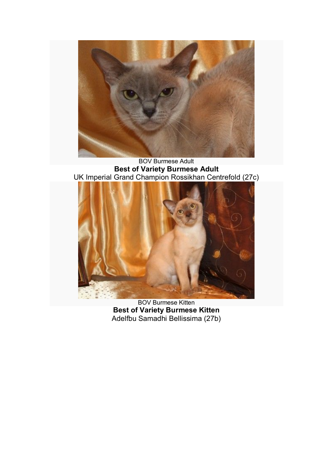

BOV Burmese Adult **Best of Variety Burmese Adult** UK Imperial Grand Champion Rossikhan Centrefold (27c)



BOV Burmese Kitten **Best of Variety Burmese Kitten** Adelfbu Samadhi Bellissima (27b)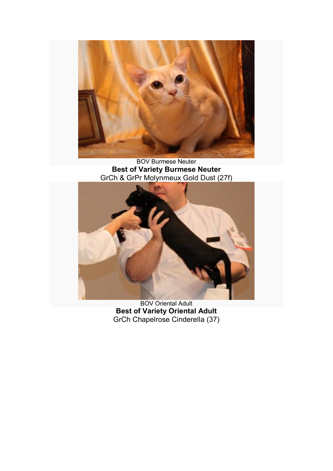

## BOV Burmese Neuter **Best of Variety Burmese Neuter** GrCh & GrPr Molynmeux Gold Dust (27f)



BOV Oriental Adult **Best of Variety Oriental Adult** GrCh Chapelrose Cinderella (37)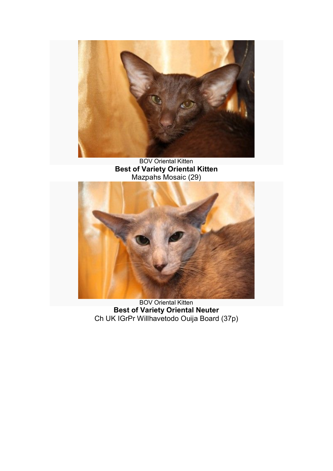

BOV Oriental Kitten **Best of Variety Oriental Kitten** Mazpahs Mosaic (29)



BOV Oriental Kitten **Best of Variety Oriental Neuter** Ch UK IGrPr Willhavetodo Ouija Board (37p)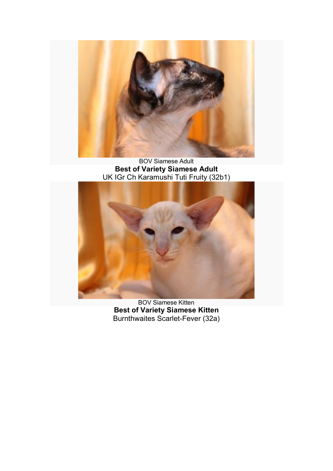

BOV Siamese Adult **Best of Variety Siamese Adult** UK IGr Ch Karamushi Tuti Fruity (32b1)



BOV Siamese Kitten **Best of Variety Siamese Kitten** Burnthwaites Scarlet-Fever (32a)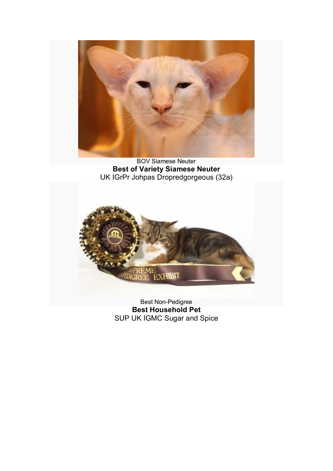

BOV Siamese Neuter **Best of Variety Siamese Neuter** UK IGrPr Johpas Dropredgorgeous (32a)



Best Non-Pedigree **Best Household Pet** SUP UK IGMC Sugar and Spice